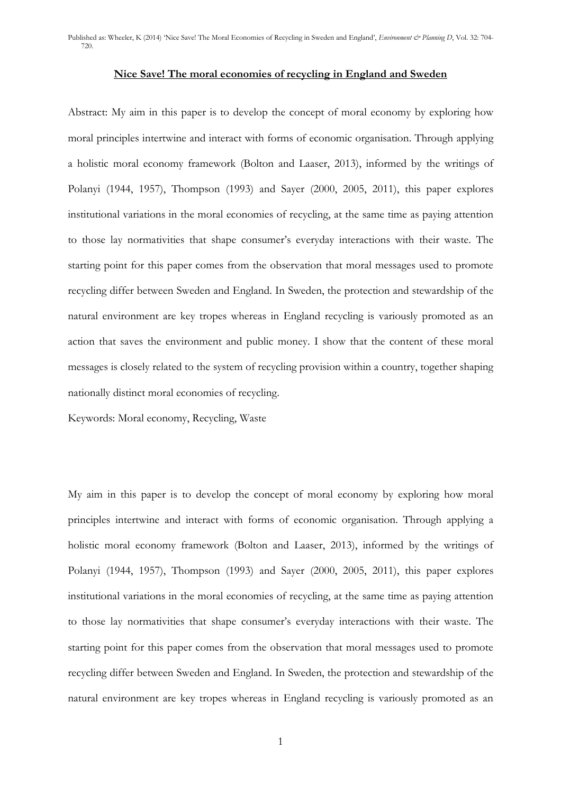#### **Nice Save! The moral economies of recycling in England and Sweden**

Abstract: My aim in this paper is to develop the concept of moral economy by exploring how moral principles intertwine and interact with forms of economic organisation. Through applying a holistic moral economy framework (Bolton and Laaser, 2013), informed by the writings of Polanyi (1944, 1957), Thompson (1993) and Sayer (2000, 2005, 2011), this paper explores institutional variations in the moral economies of recycling, at the same time as paying attention to those lay normativities that shape consumer's everyday interactions with their waste. The starting point for this paper comes from the observation that moral messages used to promote recycling differ between Sweden and England. In Sweden, the protection and stewardship of the natural environment are key tropes whereas in England recycling is variously promoted as an action that saves the environment and public money. I show that the content of these moral messages is closely related to the system of recycling provision within a country, together shaping nationally distinct moral economies of recycling.

Keywords: Moral economy, Recycling, Waste

My aim in this paper is to develop the concept of moral economy by exploring how moral principles intertwine and interact with forms of economic organisation. Through applying a holistic moral economy framework (Bolton and Laaser, 2013), informed by the writings of Polanyi (1944, 1957), Thompson (1993) and Sayer (2000, 2005, 2011), this paper explores institutional variations in the moral economies of recycling, at the same time as paying attention to those lay normativities that shape consumer's everyday interactions with their waste. The starting point for this paper comes from the observation that moral messages used to promote recycling differ between Sweden and England. In Sweden, the protection and stewardship of the natural environment are key tropes whereas in England recycling is variously promoted as an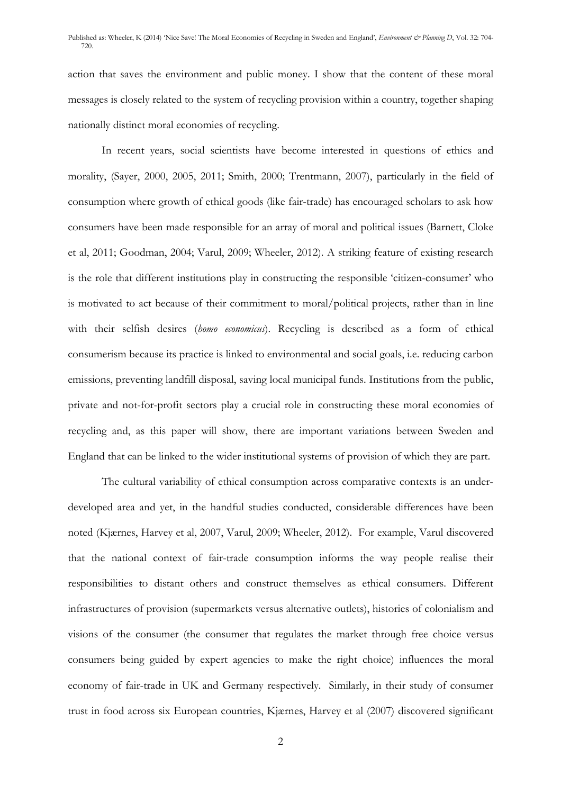action that saves the environment and public money. I show that the content of these moral messages is closely related to the system of recycling provision within a country, together shaping nationally distinct moral economies of recycling.

In recent years, social scientists have become interested in questions of ethics and morality, (Sayer, 2000, 2005, 2011; Smith, 2000; Trentmann, 2007), particularly in the field of consumption where growth of ethical goods (like fair-trade) has encouraged scholars to ask how consumers have been made responsible for an array of moral and political issues (Barnett, Cloke et al, 2011; Goodman, 2004; Varul, 2009; Wheeler, 2012). A striking feature of existing research is the role that different institutions play in constructing the responsible 'citizen-consumer' who is motivated to act because of their commitment to moral/political projects, rather than in line with their selfish desires (*homo economicus*). Recycling is described as a form of ethical consumerism because its practice is linked to environmental and social goals, i.e. reducing carbon emissions, preventing landfill disposal, saving local municipal funds. Institutions from the public, private and not-for-profit sectors play a crucial role in constructing these moral economies of recycling and, as this paper will show, there are important variations between Sweden and England that can be linked to the wider institutional systems of provision of which they are part.

The cultural variability of ethical consumption across comparative contexts is an underdeveloped area and yet, in the handful studies conducted, considerable differences have been noted (Kjærnes, Harvey et al, 2007, Varul, 2009; Wheeler, 2012). For example, Varul discovered that the national context of fair-trade consumption informs the way people realise their responsibilities to distant others and construct themselves as ethical consumers. Different infrastructures of provision (supermarkets versus alternative outlets), histories of colonialism and visions of the consumer (the consumer that regulates the market through free choice versus consumers being guided by expert agencies to make the right choice) influences the moral economy of fair-trade in UK and Germany respectively. Similarly, in their study of consumer trust in food across six European countries, Kjærnes, Harvey et al (2007) discovered significant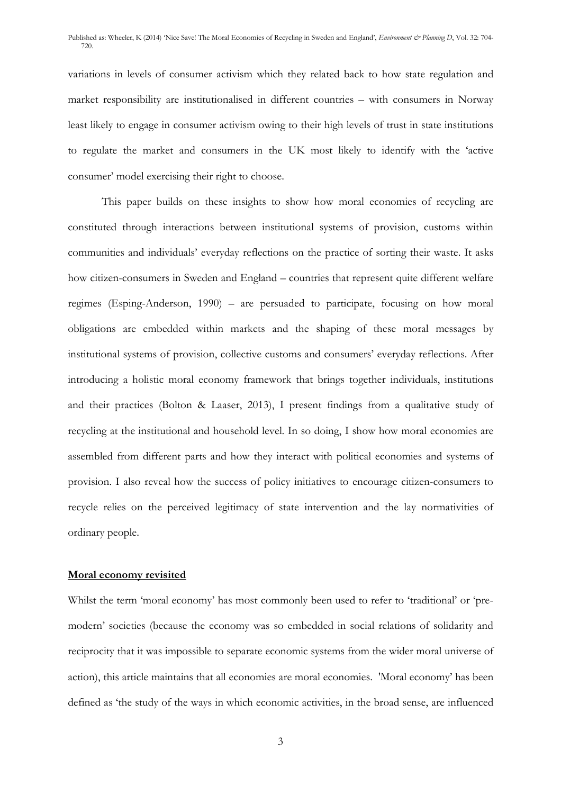variations in levels of consumer activism which they related back to how state regulation and market responsibility are institutionalised in different countries – with consumers in Norway least likely to engage in consumer activism owing to their high levels of trust in state institutions to regulate the market and consumers in the UK most likely to identify with the 'active consumer' model exercising their right to choose.

This paper builds on these insights to show how moral economies of recycling are constituted through interactions between institutional systems of provision, customs within communities and individuals' everyday reflections on the practice of sorting their waste. It asks how citizen-consumers in Sweden and England – countries that represent quite different welfare regimes (Esping-Anderson, 1990) – are persuaded to participate, focusing on how moral obligations are embedded within markets and the shaping of these moral messages by institutional systems of provision, collective customs and consumers' everyday reflections. After introducing a holistic moral economy framework that brings together individuals, institutions and their practices (Bolton & Laaser, 2013), I present findings from a qualitative study of recycling at the institutional and household level. In so doing, I show how moral economies are assembled from different parts and how they interact with political economies and systems of provision. I also reveal how the success of policy initiatives to encourage citizen-consumers to recycle relies on the perceived legitimacy of state intervention and the lay normativities of ordinary people.

# **Moral economy revisited**

Whilst the term 'moral economy' has most commonly been used to refer to 'traditional' or 'premodern' societies (because the economy was so embedded in social relations of solidarity and reciprocity that it was impossible to separate economic systems from the wider moral universe of action), this article maintains that all economies are moral economies. 'Moral economy' has been defined as 'the study of the ways in which economic activities, in the broad sense, are influenced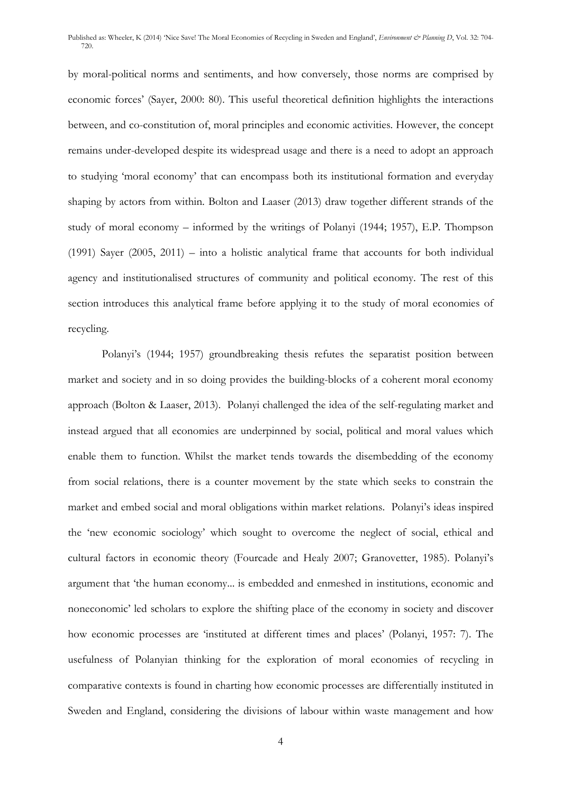by moral-political norms and sentiments, and how conversely, those norms are comprised by economic forces' (Sayer, 2000: 80). This useful theoretical definition highlights the interactions between, and co-constitution of, moral principles and economic activities. However, the concept remains under-developed despite its widespread usage and there is a need to adopt an approach to studying 'moral economy' that can encompass both its institutional formation and everyday shaping by actors from within. Bolton and Laaser (2013) draw together different strands of the study of moral economy – informed by the writings of Polanyi (1944; 1957), E.P. Thompson (1991) Sayer (2005, 2011) – into a holistic analytical frame that accounts for both individual agency and institutionalised structures of community and political economy. The rest of this section introduces this analytical frame before applying it to the study of moral economies of recycling.

 Polanyi's (1944; 1957) groundbreaking thesis refutes the separatist position between market and society and in so doing provides the building-blocks of a coherent moral economy approach (Bolton & Laaser, 2013). Polanyi challenged the idea of the self-regulating market and instead argued that all economies are underpinned by social, political and moral values which enable them to function. Whilst the market tends towards the disembedding of the economy from social relations, there is a counter movement by the state which seeks to constrain the market and embed social and moral obligations within market relations. Polanyi's ideas inspired the 'new economic sociology' which sought to overcome the neglect of social, ethical and cultural factors in economic theory (Fourcade and Healy 2007; Granovetter, 1985). Polanyi's argument that 'the human economy... is embedded and enmeshed in institutions, economic and noneconomic' led scholars to explore the shifting place of the economy in society and discover how economic processes are 'instituted at different times and places' (Polanyi, 1957: 7). The usefulness of Polanyian thinking for the exploration of moral economies of recycling in comparative contexts is found in charting how economic processes are differentially instituted in Sweden and England, considering the divisions of labour within waste management and how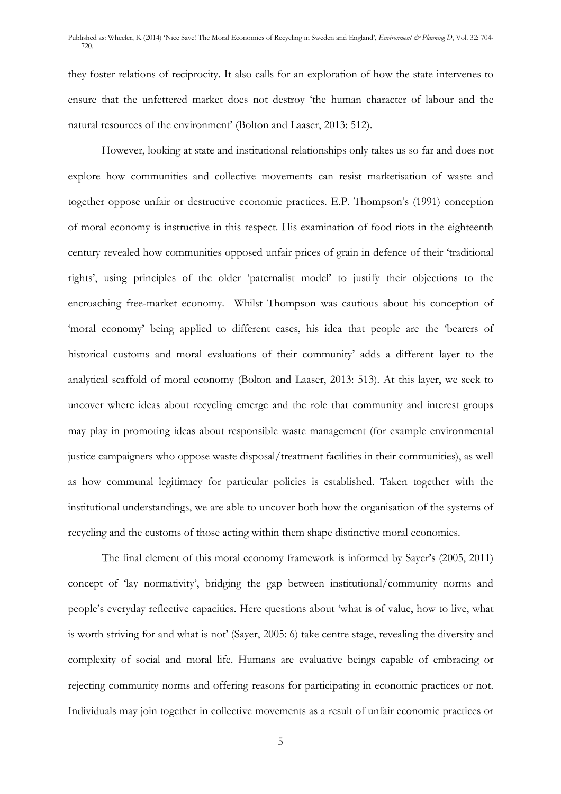they foster relations of reciprocity. It also calls for an exploration of how the state intervenes to ensure that the unfettered market does not destroy 'the human character of labour and the natural resources of the environment' (Bolton and Laaser, 2013: 512).

 However, looking at state and institutional relationships only takes us so far and does not explore how communities and collective movements can resist marketisation of waste and together oppose unfair or destructive economic practices. E.P. Thompson's (1991) conception of moral economy is instructive in this respect. His examination of food riots in the eighteenth century revealed how communities opposed unfair prices of grain in defence of their 'traditional rights', using principles of the older 'paternalist model' to justify their objections to the encroaching free-market economy. Whilst Thompson was cautious about his conception of 'moral economy' being applied to different cases, his idea that people are the 'bearers of historical customs and moral evaluations of their community' adds a different layer to the analytical scaffold of moral economy (Bolton and Laaser, 2013: 513). At this layer, we seek to uncover where ideas about recycling emerge and the role that community and interest groups may play in promoting ideas about responsible waste management (for example environmental justice campaigners who oppose waste disposal/treatment facilities in their communities), as well as how communal legitimacy for particular policies is established. Taken together with the institutional understandings, we are able to uncover both how the organisation of the systems of recycling and the customs of those acting within them shape distinctive moral economies.

The final element of this moral economy framework is informed by Sayer's (2005, 2011) concept of 'lay normativity', bridging the gap between institutional/community norms and people's everyday reflective capacities. Here questions about 'what is of value, how to live, what is worth striving for and what is not' (Sayer, 2005: 6) take centre stage, revealing the diversity and complexity of social and moral life. Humans are evaluative beings capable of embracing or rejecting community norms and offering reasons for participating in economic practices or not. Individuals may join together in collective movements as a result of unfair economic practices or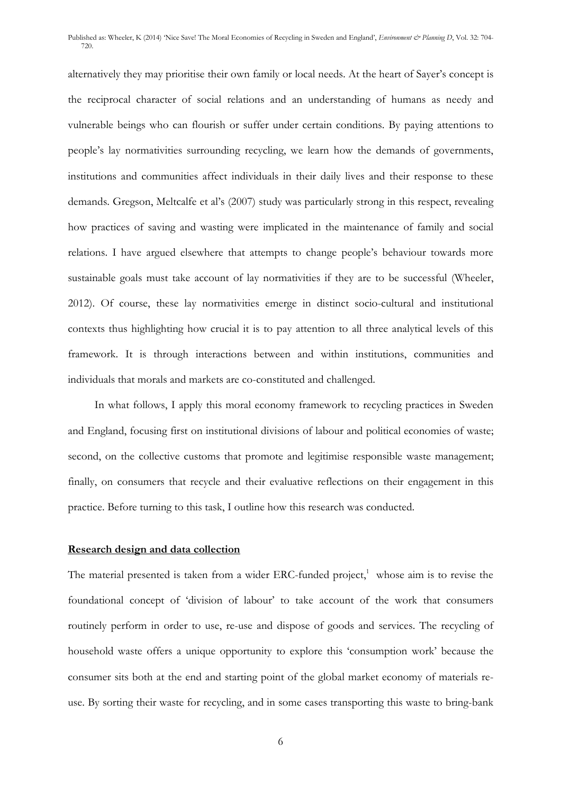alternatively they may prioritise their own family or local needs. At the heart of Sayer's concept is the reciprocal character of social relations and an understanding of humans as needy and vulnerable beings who can flourish or suffer under certain conditions. By paying attentions to people's lay normativities surrounding recycling, we learn how the demands of governments, institutions and communities affect individuals in their daily lives and their response to these demands. Gregson, Meltcalfe et al's (2007) study was particularly strong in this respect, revealing how practices of saving and wasting were implicated in the maintenance of family and social relations. I have argued elsewhere that attempts to change people's behaviour towards more sustainable goals must take account of lay normativities if they are to be successful (Wheeler, 2012). Of course, these lay normativities emerge in distinct socio-cultural and institutional contexts thus highlighting how crucial it is to pay attention to all three analytical levels of this framework. It is through interactions between and within institutions, communities and individuals that morals and markets are co-constituted and challenged.

In what follows, I apply this moral economy framework to recycling practices in Sweden and England, focusing first on institutional divisions of labour and political economies of waste; second, on the collective customs that promote and legitimise responsible waste management; finally, on consumers that recycle and their evaluative reflections on their engagement in this practice. Before turning to this task, I outline how this research was conducted.

#### **Research design and data collection**

The material presented is taken from a wider ERC-funded project, $1$  whose aim is to revise the foundational concept of 'division of labour' to take account of the work that consumers routinely perform in order to use, re-use and dispose of goods and services. The recycling of household waste offers a unique opportunity to explore this 'consumption work' because the consumer sits both at the end and starting point of the global market economy of materials reuse. By sorting their waste for recycling, and in some cases transporting this waste to bring-bank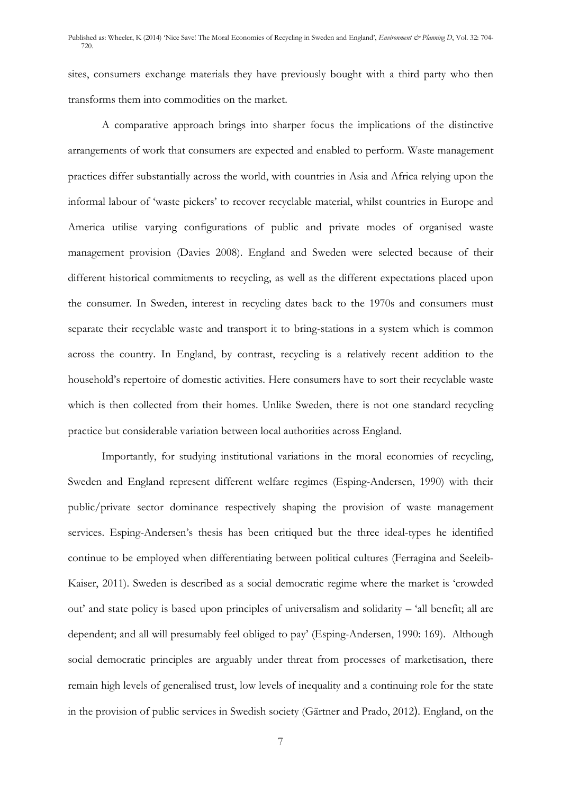sites, consumers exchange materials they have previously bought with a third party who then transforms them into commodities on the market.

A comparative approach brings into sharper focus the implications of the distinctive arrangements of work that consumers are expected and enabled to perform. Waste management practices differ substantially across the world, with countries in Asia and Africa relying upon the informal labour of 'waste pickers' to recover recyclable material, whilst countries in Europe and America utilise varying configurations of public and private modes of organised waste management provision (Davies 2008). England and Sweden were selected because of their different historical commitments to recycling, as well as the different expectations placed upon the consumer. In Sweden, interest in recycling dates back to the 1970s and consumers must separate their recyclable waste and transport it to bring-stations in a system which is common across the country. In England, by contrast, recycling is a relatively recent addition to the household's repertoire of domestic activities. Here consumers have to sort their recyclable waste which is then collected from their homes. Unlike Sweden, there is not one standard recycling practice but considerable variation between local authorities across England.

Importantly, for studying institutional variations in the moral economies of recycling, Sweden and England represent different welfare regimes (Esping-Andersen, 1990) with their public/private sector dominance respectively shaping the provision of waste management services. Esping-Andersen's thesis has been critiqued but the three ideal-types he identified continue to be employed when differentiating between political cultures (Ferragina and Seeleib-Kaiser, 2011). Sweden is described as a social democratic regime where the market is 'crowded out' and state policy is based upon principles of universalism and solidarity – 'all benefit; all are dependent; and all will presumably feel obliged to pay' (Esping-Andersen, 1990: 169). Although social democratic principles are arguably under threat from processes of marketisation, there remain high levels of generalised trust, low levels of inequality and a continuing role for the state in the provision of public services in Swedish society (Gärtner and Prado, 2012). England, on the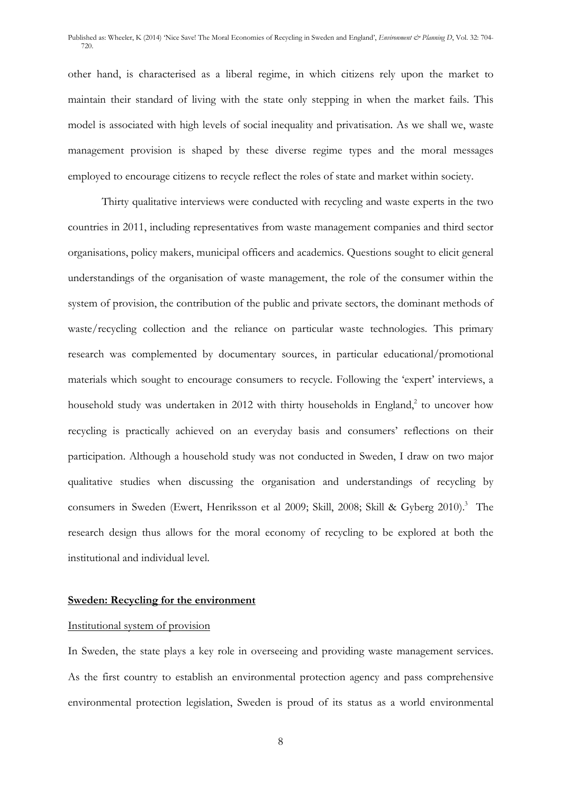other hand, is characterised as a liberal regime, in which citizens rely upon the market to maintain their standard of living with the state only stepping in when the market fails. This model is associated with high levels of social inequality and privatisation. As we shall we, waste management provision is shaped by these diverse regime types and the moral messages employed to encourage citizens to recycle reflect the roles of state and market within society.

Thirty qualitative interviews were conducted with recycling and waste experts in the two countries in 2011, including representatives from waste management companies and third sector organisations, policy makers, municipal officers and academics. Questions sought to elicit general understandings of the organisation of waste management, the role of the consumer within the system of provision, the contribution of the public and private sectors, the dominant methods of waste/recycling collection and the reliance on particular waste technologies. This primary research was complemented by documentary sources, in particular educational/promotional materials which sought to encourage consumers to recycle. Following the 'expert' interviews, a household study was undertaken in 2012 with thirty households in England,<sup>2</sup> to uncover how recycling is practically achieved on an everyday basis and consumers' reflections on their participation. Although a household study was not conducted in Sweden, I draw on two major qualitative studies when discussing the organisation and understandings of recycling by consumers in Sweden (Ewert, Henriksson et al 2009; Skill, 2008; Skill & Gyberg 2010).<sup>3</sup> The research design thus allows for the moral economy of recycling to be explored at both the institutional and individual level.

# **Sweden: Recycling for the environment**

# Institutional system of provision

In Sweden, the state plays a key role in overseeing and providing waste management services. As the first country to establish an environmental protection agency and pass comprehensive environmental protection legislation, Sweden is proud of its status as a world environmental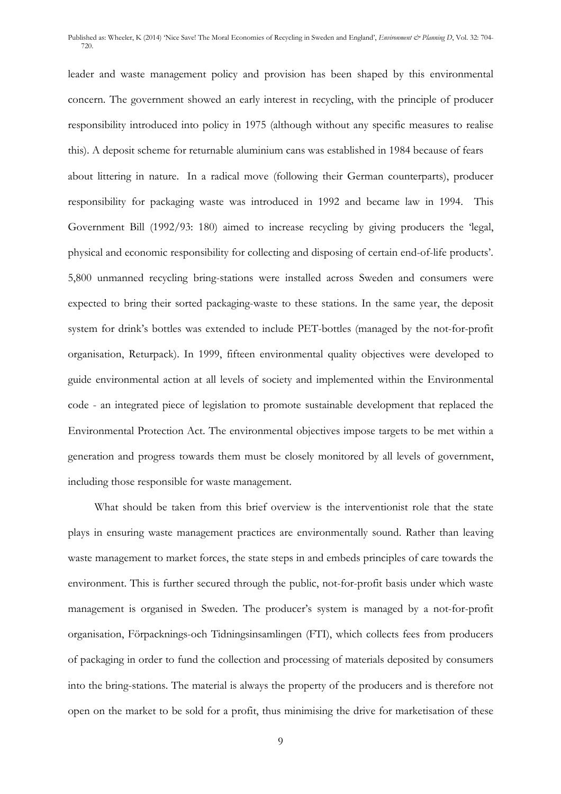leader and waste management policy and provision has been shaped by this environmental concern. The government showed an early interest in recycling, with the principle of producer responsibility introduced into policy in 1975 (although without any specific measures to realise this). A deposit scheme for returnable aluminium cans was established in 1984 because of fears about littering in nature. In a radical move (following their German counterparts), producer responsibility for packaging waste was introduced in 1992 and became law in 1994. This Government Bill (1992/93: 180) aimed to increase recycling by giving producers the 'legal, physical and economic responsibility for collecting and disposing of certain end-of-life products'. 5,800 unmanned recycling bring-stations were installed across Sweden and consumers were expected to bring their sorted packaging-waste to these stations. In the same year, the deposit system for drink's bottles was extended to include PET-bottles (managed by the not-for-profit organisation, Returpack). In 1999, fifteen environmental quality objectives were developed to guide environmental action at all levels of society and implemented within the Environmental code - an integrated piece of legislation to promote sustainable development that replaced the Environmental Protection Act. The environmental objectives impose targets to be met within a generation and progress towards them must be closely monitored by all levels of government, including those responsible for waste management.

What should be taken from this brief overview is the interventionist role that the state plays in ensuring waste management practices are environmentally sound. Rather than leaving waste management to market forces, the state steps in and embeds principles of care towards the environment. This is further secured through the public, not-for-profit basis under which waste management is organised in Sweden. The producer's system is managed by a not-for-profit organisation, Förpacknings-och Tidningsinsamlingen (FTI), which collects fees from producers of packaging in order to fund the collection and processing of materials deposited by consumers into the bring-stations. The material is always the property of the producers and is therefore not open on the market to be sold for a profit, thus minimising the drive for marketisation of these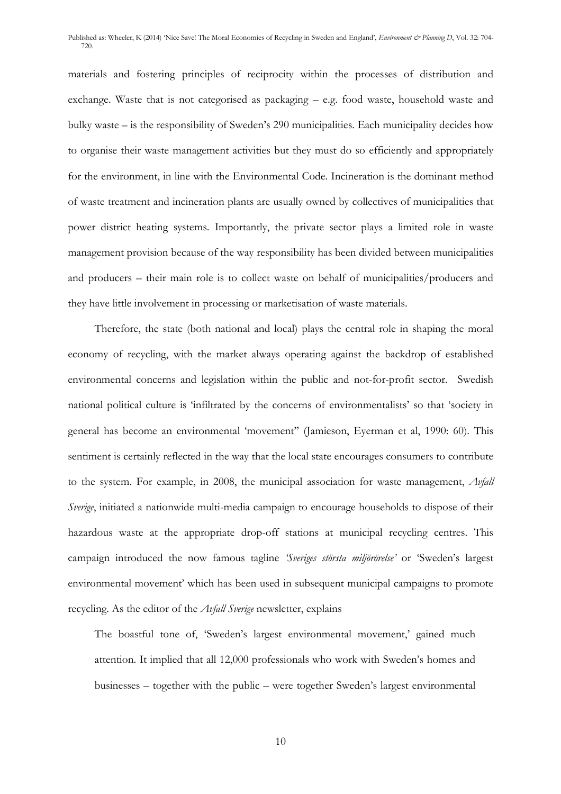materials and fostering principles of reciprocity within the processes of distribution and exchange. Waste that is not categorised as packaging – e.g. food waste, household waste and bulky waste – is the responsibility of Sweden's 290 municipalities. Each municipality decides how to organise their waste management activities but they must do so efficiently and appropriately for the environment, in line with the Environmental Code. Incineration is the dominant method of waste treatment and incineration plants are usually owned by collectives of municipalities that power district heating systems. Importantly, the private sector plays a limited role in waste management provision because of the way responsibility has been divided between municipalities and producers – their main role is to collect waste on behalf of municipalities/producers and they have little involvement in processing or marketisation of waste materials.

Therefore, the state (both national and local) plays the central role in shaping the moral economy of recycling, with the market always operating against the backdrop of established environmental concerns and legislation within the public and not-for-profit sector. Swedish national political culture is 'infiltrated by the concerns of environmentalists' so that 'society in general has become an environmental 'movement'' (Jamieson, Eyerman et al, 1990: 60). This sentiment is certainly reflected in the way that the local state encourages consumers to contribute to the system. For example, in 2008, the municipal association for waste management, *Avfall Sverige*, initiated a nationwide multi-media campaign to encourage households to dispose of their hazardous waste at the appropriate drop-off stations at municipal recycling centres. This campaign introduced the now famous tagline *'Sveriges största miljörörelse'* or 'Sweden's largest environmental movement' which has been used in subsequent municipal campaigns to promote recycling. As the editor of the *Avfall Sverige* newsletter, explains

The boastful tone of, 'Sweden's largest environmental movement,' gained much attention. It implied that all 12,000 professionals who work with Sweden's homes and businesses – together with the public – were together Sweden's largest environmental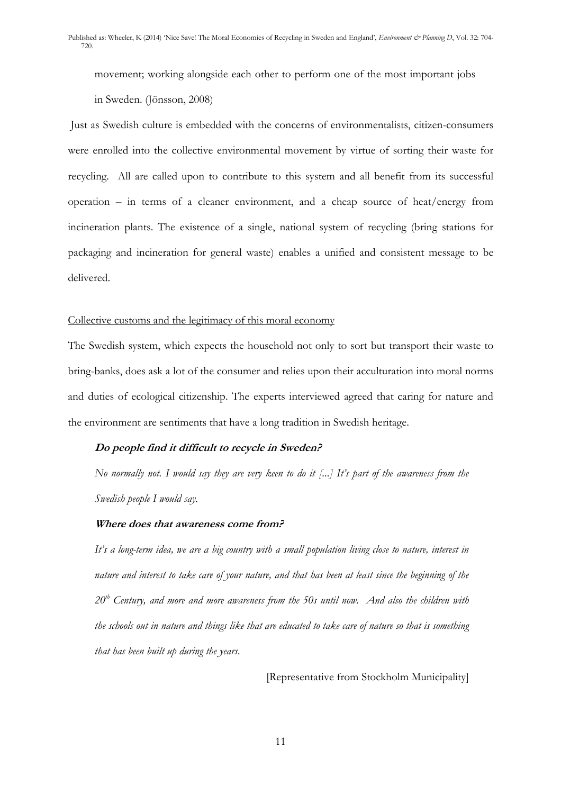movement; working alongside each other to perform one of the most important jobs

in Sweden. (Jönsson, 2008)

 Just as Swedish culture is embedded with the concerns of environmentalists, citizen-consumers were enrolled into the collective environmental movement by virtue of sorting their waste for recycling. All are called upon to contribute to this system and all benefit from its successful operation – in terms of a cleaner environment, and a cheap source of heat/energy from incineration plants. The existence of a single, national system of recycling (bring stations for packaging and incineration for general waste) enables a unified and consistent message to be delivered.

# Collective customs and the legitimacy of this moral economy

The Swedish system, which expects the household not only to sort but transport their waste to bring-banks, does ask a lot of the consumer and relies upon their acculturation into moral norms and duties of ecological citizenship. The experts interviewed agreed that caring for nature and the environment are sentiments that have a long tradition in Swedish heritage.

# **Do people find it difficult to recycle in Sweden?**

*No normally not. I would say they are very keen to do it [...] It's part of the awareness from the Swedish people I would say.* 

# **Where does that awareness come from?**

*It's a long-term idea, we are a big country with a small population living close to nature, interest in nature and interest to take care of your nature, and that has been at least since the beginning of the 20th Century, and more and more awareness from the 50s until now. And also the children with the schools out in nature and things like that are educated to take care of nature so that is something that has been built up during the years.* 

[Representative from Stockholm Municipality]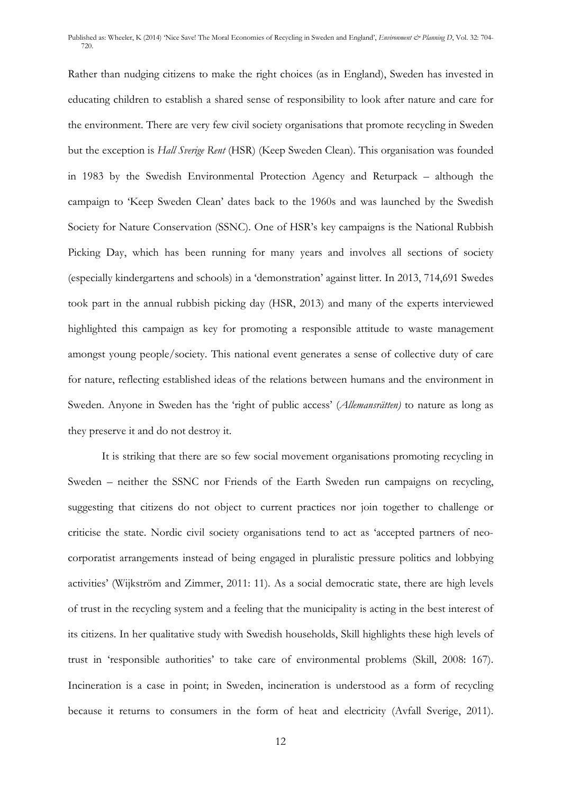Rather than nudging citizens to make the right choices (as in England), Sweden has invested in educating children to establish a shared sense of responsibility to look after nature and care for the environment. There are very few civil society organisations that promote recycling in Sweden but the exception is *Hall Sverige Rent* (HSR) (Keep Sweden Clean). This organisation was founded in 1983 by the Swedish Environmental Protection Agency and Returpack – although the campaign to 'Keep Sweden Clean' dates back to the 1960s and was launched by the Swedish Society for Nature Conservation (SSNC). One of HSR's key campaigns is the National Rubbish Picking Day, which has been running for many years and involves all sections of society (especially kindergartens and schools) in a 'demonstration' against litter. In 2013, 714,691 Swedes took part in the annual rubbish picking day (HSR, 2013) and many of the experts interviewed highlighted this campaign as key for promoting a responsible attitude to waste management amongst young people/society. This national event generates a sense of collective duty of care for nature, reflecting established ideas of the relations between humans and the environment in Sweden. Anyone in Sweden has the 'right of public access' (*Allemansrätten)* to nature as long as they preserve it and do not destroy it.

It is striking that there are so few social movement organisations promoting recycling in Sweden – neither the SSNC nor Friends of the Earth Sweden run campaigns on recycling, suggesting that citizens do not object to current practices nor join together to challenge or criticise the state. Nordic civil society organisations tend to act as 'accepted partners of neocorporatist arrangements instead of being engaged in pluralistic pressure politics and lobbying activities' (Wijkström and Zimmer, 2011: 11). As a social democratic state, there are high levels of trust in the recycling system and a feeling that the municipality is acting in the best interest of its citizens. In her qualitative study with Swedish households, Skill highlights these high levels of trust in 'responsible authorities' to take care of environmental problems (Skill, 2008: 167). Incineration is a case in point; in Sweden, incineration is understood as a form of recycling because it returns to consumers in the form of heat and electricity (Avfall Sverige, 2011).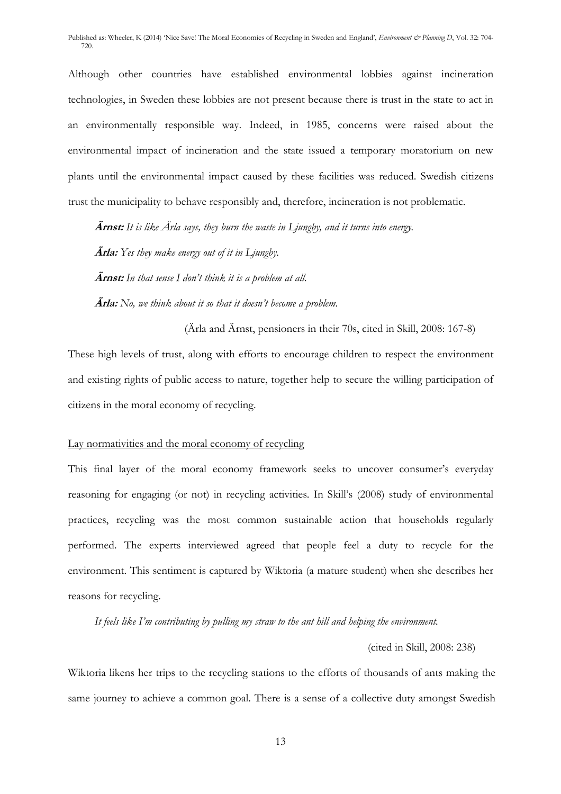Although other countries have established environmental lobbies against incineration technologies, in Sweden these lobbies are not present because there is trust in the state to act in an environmentally responsible way. Indeed, in 1985, concerns were raised about the environmental impact of incineration and the state issued a temporary moratorium on new plants until the environmental impact caused by these facilities was reduced. Swedish citizens trust the municipality to behave responsibly and, therefore, incineration is not problematic.

**Ärnst:** *It is like Ärla says, they burn the waste in Ljungby, and it turns into energy.*

**Ärla:** *Yes they make energy out of it in Ljungby.*

**Ärnst:** *In that sense I don't think it is a problem at all.*

**Ärla:** *No, we think about it so that it doesn't become a problem.* 

(Ärla and Ärnst, pensioners in their 70s, cited in Skill, 2008: 167-8) These high levels of trust, along with efforts to encourage children to respect the environment and existing rights of public access to nature, together help to secure the willing participation of citizens in the moral economy of recycling.

# Lay normativities and the moral economy of recycling

This final layer of the moral economy framework seeks to uncover consumer's everyday reasoning for engaging (or not) in recycling activities. In Skill's (2008) study of environmental practices, recycling was the most common sustainable action that households regularly performed. The experts interviewed agreed that people feel a duty to recycle for the environment. This sentiment is captured by Wiktoria (a mature student) when she describes her reasons for recycling.

*It feels like I'm contributing by pulling my straw to the ant hill and helping the environment.* 

# (cited in Skill, 2008: 238)

Wiktoria likens her trips to the recycling stations to the efforts of thousands of ants making the same journey to achieve a common goal. There is a sense of a collective duty amongst Swedish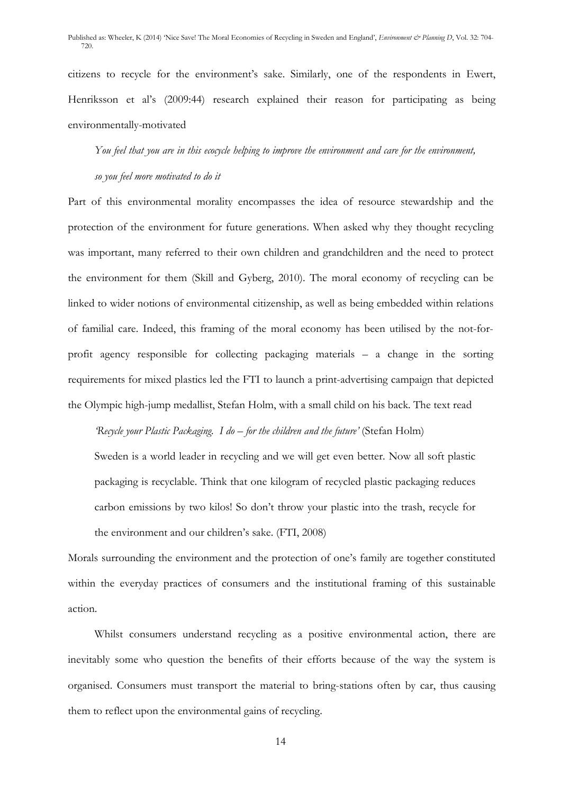citizens to recycle for the environment's sake. Similarly, one of the respondents in Ewert, Henriksson et al's (2009:44) research explained their reason for participating as being environmentally-motivated

*You feel that you are in this ecocycle helping to improve the environment and care for the environment,* 

*so you feel more motivated to do it* 

Part of this environmental morality encompasses the idea of resource stewardship and the protection of the environment for future generations. When asked why they thought recycling was important, many referred to their own children and grandchildren and the need to protect the environment for them (Skill and Gyberg, 2010). The moral economy of recycling can be linked to wider notions of environmental citizenship, as well as being embedded within relations of familial care. Indeed, this framing of the moral economy has been utilised by the not-forprofit agency responsible for collecting packaging materials – a change in the sorting requirements for mixed plastics led the FTI to launch a print-advertising campaign that depicted the Olympic high-jump medallist, Stefan Holm, with a small child on his back. The text read

*'Recycle your Plastic Packaging. I do – for the children and the future'* (Stefan Holm)

Sweden is a world leader in recycling and we will get even better. Now all soft plastic packaging is recyclable. Think that one kilogram of recycled plastic packaging reduces carbon emissions by two kilos! So don't throw your plastic into the trash, recycle for the environment and our children's sake. (FTI, 2008)

Morals surrounding the environment and the protection of one's family are together constituted within the everyday practices of consumers and the institutional framing of this sustainable action.

Whilst consumers understand recycling as a positive environmental action, there are inevitably some who question the benefits of their efforts because of the way the system is organised. Consumers must transport the material to bring-stations often by car, thus causing them to reflect upon the environmental gains of recycling.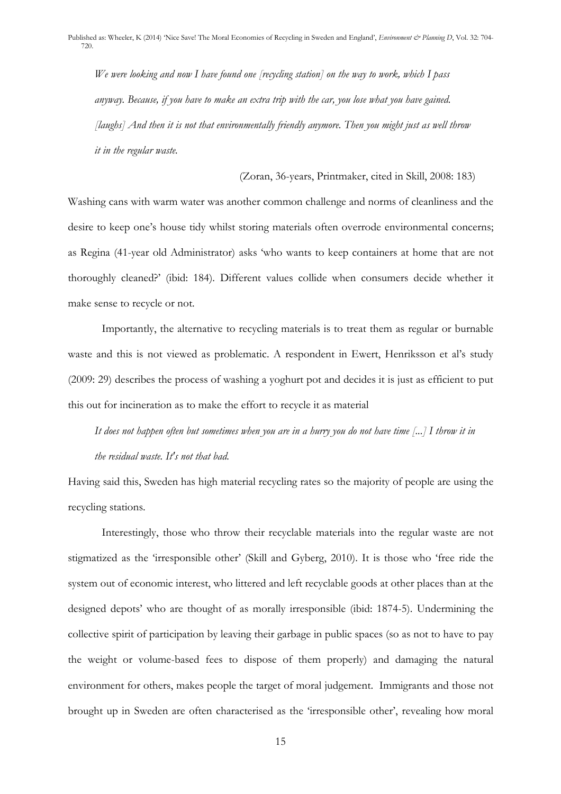*We were looking and now I have found one [recycling station] on the way to work, which I pass anyway. Because, if you have to make an extra trip with the car, you lose what you have gained. [laughs] And then it is not that environmentally friendly anymore. Then you might just as well throw it in the regular waste.* 

(Zoran, 36-years, Printmaker, cited in Skill, 2008: 183)

Washing cans with warm water was another common challenge and norms of cleanliness and the desire to keep one's house tidy whilst storing materials often overrode environmental concerns; as Regina (41-year old Administrator) asks 'who wants to keep containers at home that are not thoroughly cleaned?' (ibid: 184). Different values collide when consumers decide whether it make sense to recycle or not.

Importantly, the alternative to recycling materials is to treat them as regular or burnable waste and this is not viewed as problematic. A respondent in Ewert, Henriksson et al's study (2009: 29) describes the process of washing a yoghurt pot and decides it is just as efficient to put this out for incineration as to make the effort to recycle it as material

*It does not happen often but sometimes when you are in a hurry you do not have time [...] I throw it in the residual waste. It's not that bad.* 

Having said this, Sweden has high material recycling rates so the majority of people are using the recycling stations.

Interestingly, those who throw their recyclable materials into the regular waste are not stigmatized as the 'irresponsible other' (Skill and Gyberg, 2010). It is those who 'free ride the system out of economic interest, who littered and left recyclable goods at other places than at the designed depots' who are thought of as morally irresponsible (ibid: 1874-5). Undermining the collective spirit of participation by leaving their garbage in public spaces (so as not to have to pay the weight or volume-based fees to dispose of them properly) and damaging the natural environment for others, makes people the target of moral judgement. Immigrants and those not brought up in Sweden are often characterised as the 'irresponsible other', revealing how moral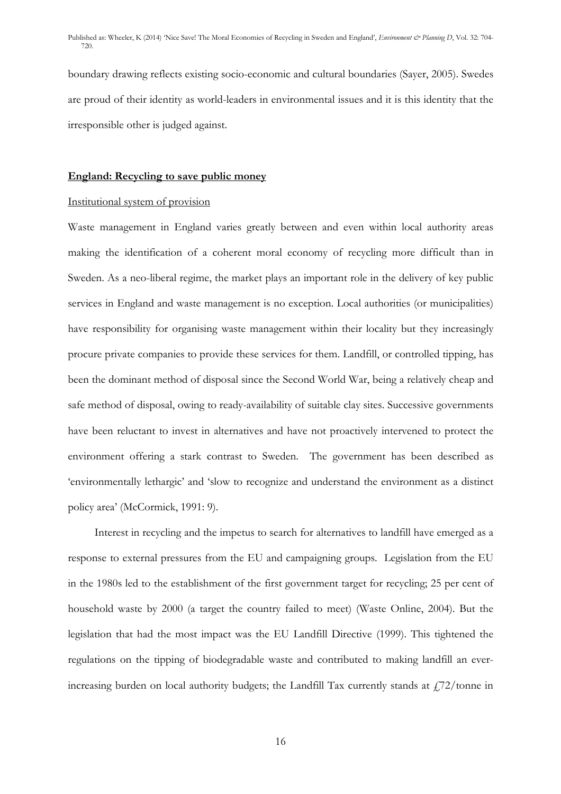boundary drawing reflects existing socio-economic and cultural boundaries (Sayer, 2005). Swedes are proud of their identity as world-leaders in environmental issues and it is this identity that the irresponsible other is judged against.

#### **England: Recycling to save public money**

#### Institutional system of provision

Waste management in England varies greatly between and even within local authority areas making the identification of a coherent moral economy of recycling more difficult than in Sweden. As a neo-liberal regime, the market plays an important role in the delivery of key public services in England and waste management is no exception. Local authorities (or municipalities) have responsibility for organising waste management within their locality but they increasingly procure private companies to provide these services for them. Landfill, or controlled tipping, has been the dominant method of disposal since the Second World War, being a relatively cheap and safe method of disposal, owing to ready-availability of suitable clay sites. Successive governments have been reluctant to invest in alternatives and have not proactively intervened to protect the environment offering a stark contrast to Sweden. The government has been described as 'environmentally lethargic' and 'slow to recognize and understand the environment as a distinct policy area' (McCormick, 1991: 9).

Interest in recycling and the impetus to search for alternatives to landfill have emerged as a response to external pressures from the EU and campaigning groups. Legislation from the EU in the 1980s led to the establishment of the first government target for recycling; 25 per cent of household waste by 2000 (a target the country failed to meet) (Waste Online, 2004). But the legislation that had the most impact was the EU Landfill Directive (1999). This tightened the regulations on the tipping of biodegradable waste and contributed to making landfill an everincreasing burden on local authority budgets; the Landfill Tax currently stands at  $\frac{172}{t}$  tonne in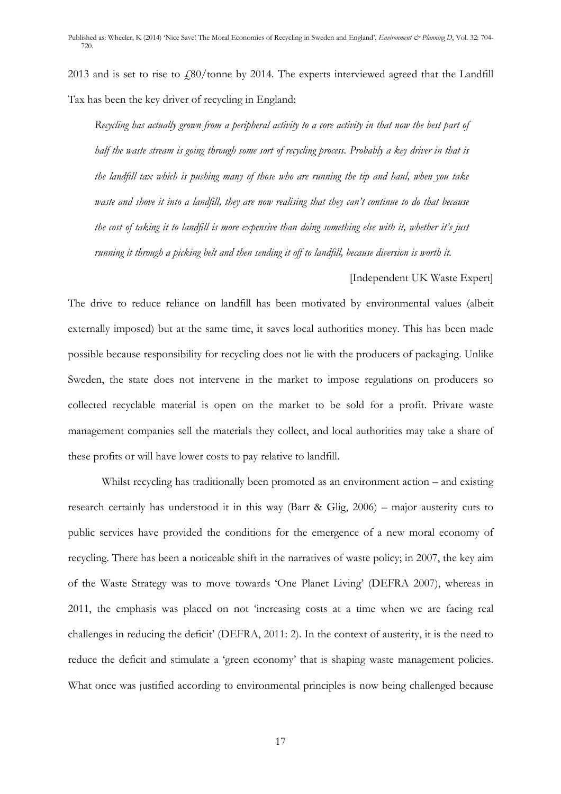2013 and is set to rise to  $\frac{2014}{80}$  / tonne by 2014. The experts interviewed agreed that the Landfill Tax has been the key driver of recycling in England:

*Recycling has actually grown from a peripheral activity to a core activity in that now the best part of half the waste stream is going through some sort of recycling process. Probably a key driver in that is the landfill tax which is pushing many of those who are running the tip and haul, when you take waste and shove it into a landfill, they are now realising that they can't continue to do that because the cost of taking it to landfill is more expensive than doing something else with it, whether it's just running it through a picking belt and then sending it off to landfill, because diversion is worth it.*

[Independent UK Waste Expert]

The drive to reduce reliance on landfill has been motivated by environmental values (albeit externally imposed) but at the same time, it saves local authorities money. This has been made possible because responsibility for recycling does not lie with the producers of packaging. Unlike Sweden, the state does not intervene in the market to impose regulations on producers so collected recyclable material is open on the market to be sold for a profit. Private waste management companies sell the materials they collect, and local authorities may take a share of these profits or will have lower costs to pay relative to landfill.

Whilst recycling has traditionally been promoted as an environment action – and existing research certainly has understood it in this way (Barr & Glig, 2006) – major austerity cuts to public services have provided the conditions for the emergence of a new moral economy of recycling. There has been a noticeable shift in the narratives of waste policy; in 2007, the key aim of the Waste Strategy was to move towards 'One Planet Living' (DEFRA 2007), whereas in 2011, the emphasis was placed on not 'increasing costs at a time when we are facing real challenges in reducing the deficit' (DEFRA, 2011: 2). In the context of austerity, it is the need to reduce the deficit and stimulate a 'green economy' that is shaping waste management policies. What once was justified according to environmental principles is now being challenged because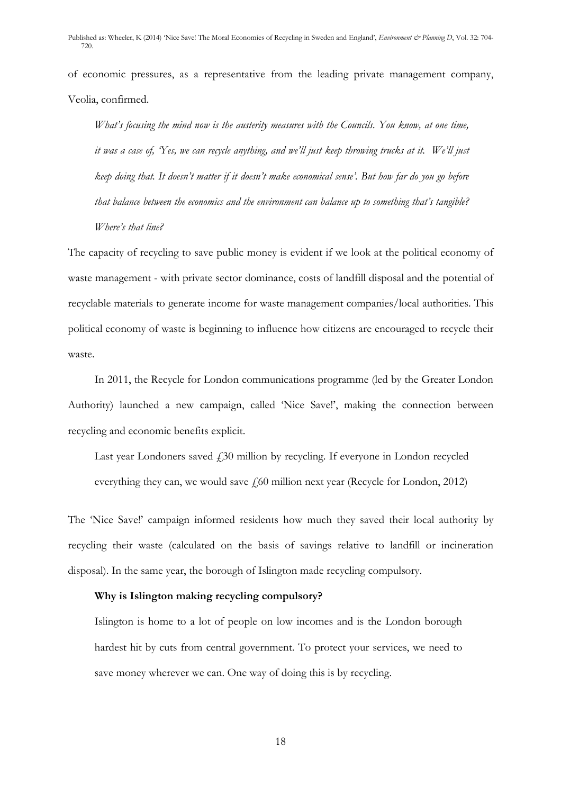of economic pressures, as a representative from the leading private management company, Veolia, confirmed.

*What's focusing the mind now is the austerity measures with the Councils. You know, at one time, it was a case of, 'Yes, we can recycle anything, and we'll just keep throwing trucks at it. We'll just keep doing that. It doesn't matter if it doesn't make economical sense'. But how far do you go before that balance between the economics and the environment can balance up to something that's tangible?* 

*Where's that line?* 

The capacity of recycling to save public money is evident if we look at the political economy of waste management - with private sector dominance, costs of landfill disposal and the potential of recyclable materials to generate income for waste management companies/local authorities. This political economy of waste is beginning to influence how citizens are encouraged to recycle their waste.

In 2011, the Recycle for London communications programme (led by the Greater London Authority) launched a new campaign, called 'Nice Save!', making the connection between recycling and economic benefits explicit.

Last year Londoners saved  $f$ , 30 million by recycling. If everyone in London recycled everything they can, we would save  $f(60 \text{ million next year})$  (Recycle for London, 2012)

The 'Nice Save!' campaign informed residents how much they saved their local authority by recycling their waste (calculated on the basis of savings relative to landfill or incineration disposal). In the same year, the borough of Islington made recycling compulsory.

#### **Why is Islington making recycling compulsory?**

Islington is home to a lot of people on low incomes and is the London borough hardest hit by cuts from central government. To protect your services, we need to save money wherever we can. One way of doing this is by recycling.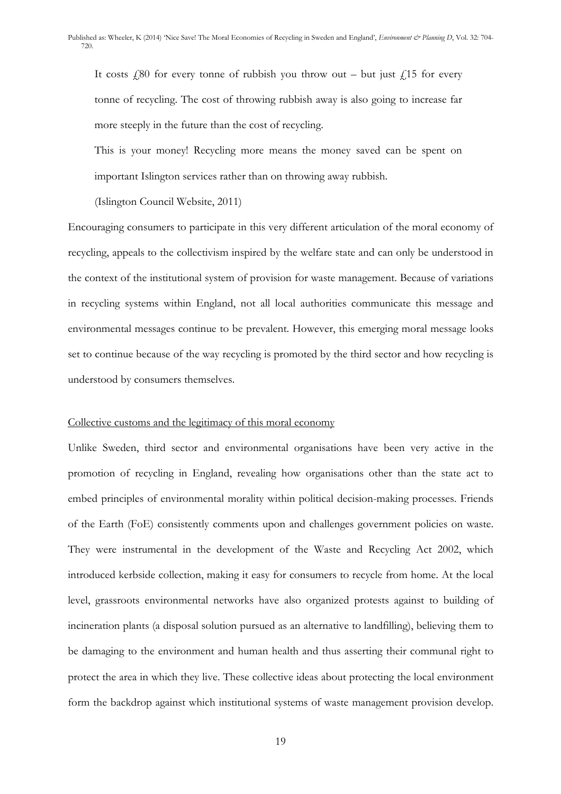It costs  $\frac{180}{15}$  for every tonne of rubbish you throw out – but just  $\frac{1}{15}$  for every tonne of recycling. The cost of throwing rubbish away is also going to increase far more steeply in the future than the cost of recycling.

This is your money! Recycling more means the money saved can be spent on important Islington services rather than on throwing away rubbish.

(Islington Council Website, 2011)

Encouraging consumers to participate in this very different articulation of the moral economy of recycling, appeals to the collectivism inspired by the welfare state and can only be understood in the context of the institutional system of provision for waste management. Because of variations in recycling systems within England, not all local authorities communicate this message and environmental messages continue to be prevalent. However, this emerging moral message looks set to continue because of the way recycling is promoted by the third sector and how recycling is understood by consumers themselves.

# Collective customs and the legitimacy of this moral economy

Unlike Sweden, third sector and environmental organisations have been very active in the promotion of recycling in England, revealing how organisations other than the state act to embed principles of environmental morality within political decision-making processes. Friends of the Earth (FoE) consistently comments upon and challenges government policies on waste. They were instrumental in the development of the Waste and Recycling Act 2002, which introduced kerbside collection, making it easy for consumers to recycle from home. At the local level, grassroots environmental networks have also organized protests against to building of incineration plants (a disposal solution pursued as an alternative to landfilling), believing them to be damaging to the environment and human health and thus asserting their communal right to protect the area in which they live. These collective ideas about protecting the local environment form the backdrop against which institutional systems of waste management provision develop.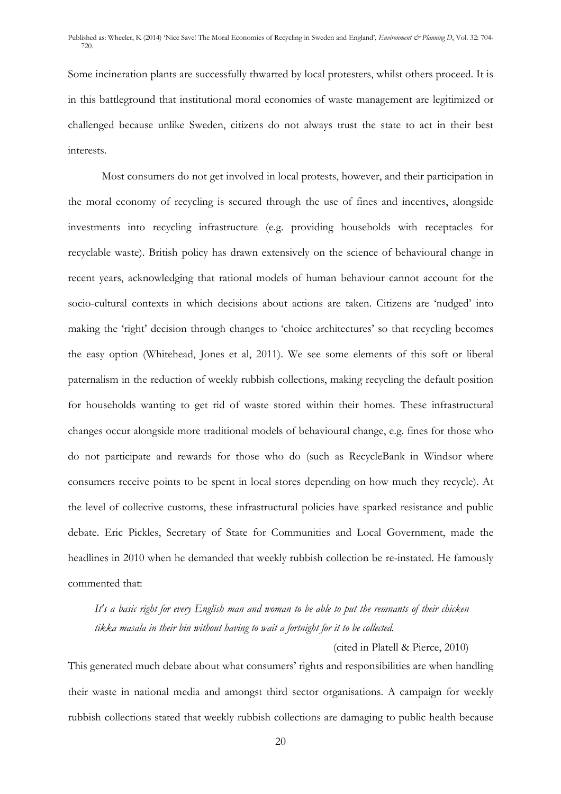Some incineration plants are successfully thwarted by local protesters, whilst others proceed. It is in this battleground that institutional moral economies of waste management are legitimized or challenged because unlike Sweden, citizens do not always trust the state to act in their best interests.

Most consumers do not get involved in local protests, however, and their participation in the moral economy of recycling is secured through the use of fines and incentives, alongside investments into recycling infrastructure (e.g. providing households with receptacles for recyclable waste). British policy has drawn extensively on the science of behavioural change in recent years, acknowledging that rational models of human behaviour cannot account for the socio-cultural contexts in which decisions about actions are taken. Citizens are 'nudged' into making the 'right' decision through changes to 'choice architectures' so that recycling becomes the easy option (Whitehead, Jones et al, 2011). We see some elements of this soft or liberal paternalism in the reduction of weekly rubbish collections, making recycling the default position for households wanting to get rid of waste stored within their homes. These infrastructural changes occur alongside more traditional models of behavioural change, e.g. fines for those who do not participate and rewards for those who do (such as RecycleBank in Windsor where consumers receive points to be spent in local stores depending on how much they recycle). At the level of collective customs, these infrastructural policies have sparked resistance and public debate. Eric Pickles, Secretary of State for Communities and Local Government, made the headlines in 2010 when he demanded that weekly rubbish collection be re-instated. He famously commented that:

*It's a basic right for every English man and woman to be able to put the remnants of their chicken tikka masala in their bin without having to wait a fortnight for it to be collected.* 

# (cited in Platell & Pierce, 2010)

This generated much debate about what consumers' rights and responsibilities are when handling their waste in national media and amongst third sector organisations. A campaign for weekly rubbish collections stated that weekly rubbish collections are damaging to public health because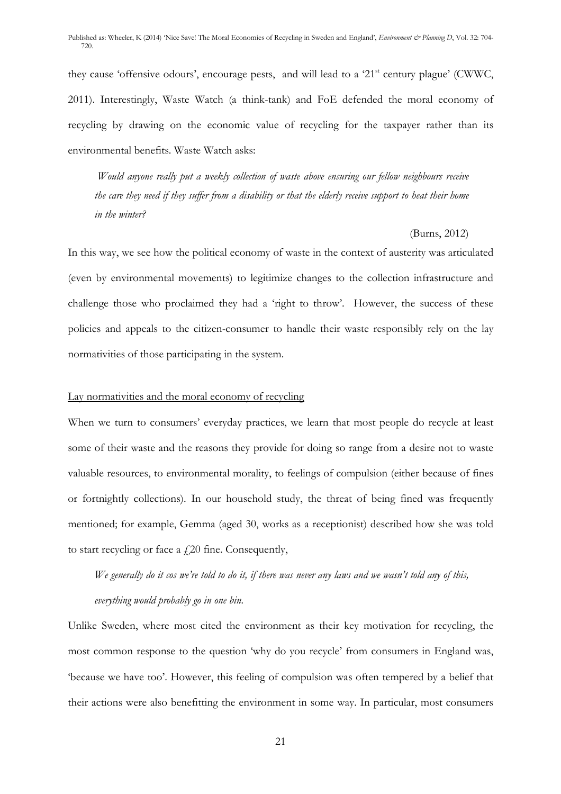they cause 'offensive odours', encourage pests, and will lead to a '21<sup>st</sup> century plague' (CWWC, 2011). Interestingly, Waste Watch (a think-tank) and FoE defended the moral economy of recycling by drawing on the economic value of recycling for the taxpayer rather than its environmental benefits. Waste Watch asks:

 *Would anyone really put a weekly collection of waste above ensuring our fellow neighbours receive the care they need if they suffer from a disability or that the elderly receive support to heat their home in the winter?* 

#### (Burns, 2012)

In this way, we see how the political economy of waste in the context of austerity was articulated (even by environmental movements) to legitimize changes to the collection infrastructure and challenge those who proclaimed they had a 'right to throw'. However, the success of these policies and appeals to the citizen-consumer to handle their waste responsibly rely on the lay normativities of those participating in the system.

#### Lay normativities and the moral economy of recycling

When we turn to consumers' everyday practices, we learn that most people do recycle at least some of their waste and the reasons they provide for doing so range from a desire not to waste valuable resources, to environmental morality, to feelings of compulsion (either because of fines or fortnightly collections). In our household study, the threat of being fined was frequently mentioned; for example, Gemma (aged 30, works as a receptionist) described how she was told to start recycling or face a  $f(20)$  fine. Consequently,

# *We generally do it cos we're told to do it, if there was never any laws and we wasn't told any of this, everything would probably go in one bin.*

Unlike Sweden, where most cited the environment as their key motivation for recycling, the most common response to the question 'why do you recycle' from consumers in England was, 'because we have too'. However, this feeling of compulsion was often tempered by a belief that their actions were also benefitting the environment in some way. In particular, most consumers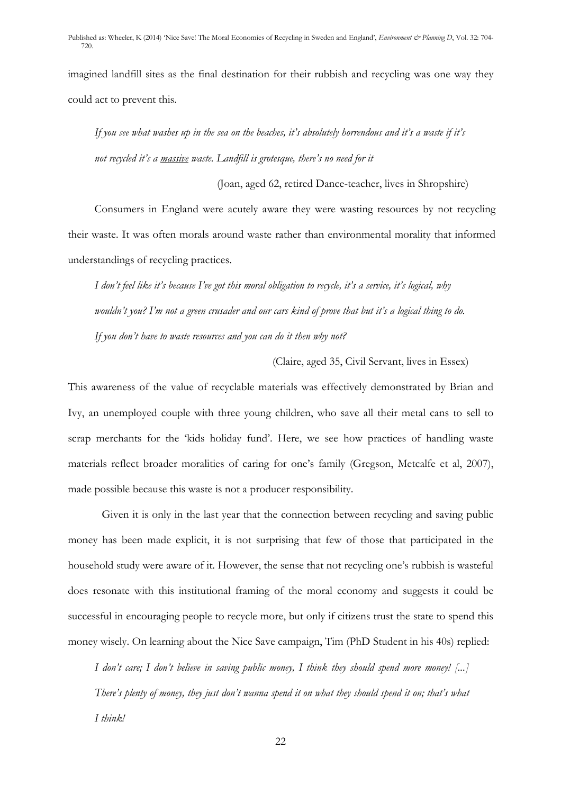imagined landfill sites as the final destination for their rubbish and recycling was one way they could act to prevent this.

*If you see what washes up in the sea on the beaches, it's absolutely horrendous and it's a waste if it's not recycled it's a massive waste. Landfill is grotesque, there's no need for it* 

(Joan, aged 62, retired Dance-teacher, lives in Shropshire)

Consumers in England were acutely aware they were wasting resources by not recycling their waste. It was often morals around waste rather than environmental morality that informed understandings of recycling practices.

*I don't feel like it's because I've got this moral obligation to recycle, it's a service, it's logical, why wouldn't you? I'm not a green crusader and our cars kind of prove that but it's a logical thing to do. If you don't have to waste resources and you can do it then why not?* 

(Claire, aged 35, Civil Servant, lives in Essex)

This awareness of the value of recyclable materials was effectively demonstrated by Brian and Ivy, an unemployed couple with three young children, who save all their metal cans to sell to scrap merchants for the 'kids holiday fund'. Here, we see how practices of handling waste materials reflect broader moralities of caring for one's family (Gregson, Metcalfe et al, 2007), made possible because this waste is not a producer responsibility.

Given it is only in the last year that the connection between recycling and saving public money has been made explicit, it is not surprising that few of those that participated in the household study were aware of it. However, the sense that not recycling one's rubbish is wasteful does resonate with this institutional framing of the moral economy and suggests it could be successful in encouraging people to recycle more, but only if citizens trust the state to spend this money wisely. On learning about the Nice Save campaign, Tim (PhD Student in his 40s) replied:

*I don't care; I don't believe in saving public money, I think they should spend more money! [...] There's plenty of money, they just don't wanna spend it on what they should spend it on; that's what* 

*I think!*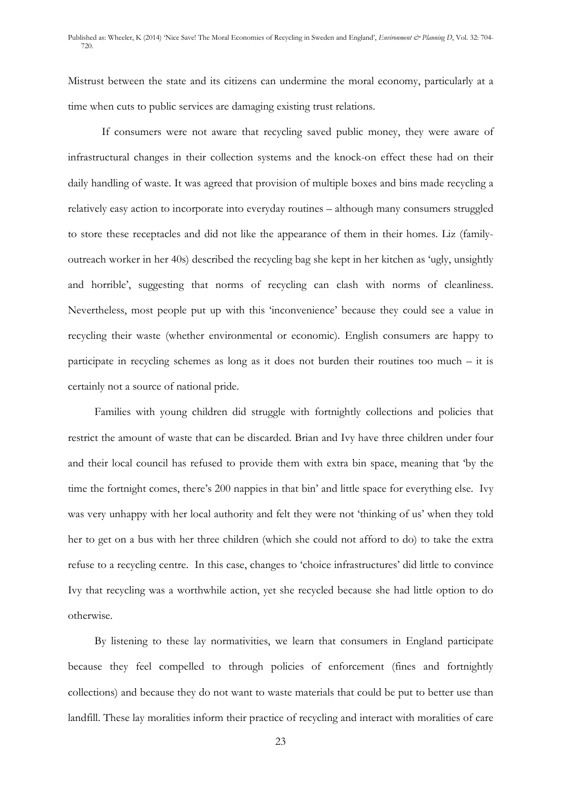Mistrust between the state and its citizens can undermine the moral economy, particularly at a time when cuts to public services are damaging existing trust relations.

 If consumers were not aware that recycling saved public money, they were aware of infrastructural changes in their collection systems and the knock-on effect these had on their daily handling of waste. It was agreed that provision of multiple boxes and bins made recycling a relatively easy action to incorporate into everyday routines – although many consumers struggled to store these receptacles and did not like the appearance of them in their homes. Liz (familyoutreach worker in her 40s) described the recycling bag she kept in her kitchen as 'ugly, unsightly and horrible', suggesting that norms of recycling can clash with norms of cleanliness. Nevertheless, most people put up with this 'inconvenience' because they could see a value in recycling their waste (whether environmental or economic). English consumers are happy to participate in recycling schemes as long as it does not burden their routines too much – it is certainly not a source of national pride.

Families with young children did struggle with fortnightly collections and policies that restrict the amount of waste that can be discarded. Brian and Ivy have three children under four and their local council has refused to provide them with extra bin space, meaning that 'by the time the fortnight comes, there's 200 nappies in that bin' and little space for everything else. Ivy was very unhappy with her local authority and felt they were not 'thinking of us' when they told her to get on a bus with her three children (which she could not afford to do) to take the extra refuse to a recycling centre. In this case, changes to 'choice infrastructures' did little to convince Ivy that recycling was a worthwhile action, yet she recycled because she had little option to do otherwise.

By listening to these lay normativities, we learn that consumers in England participate because they feel compelled to through policies of enforcement (fines and fortnightly collections) and because they do not want to waste materials that could be put to better use than landfill. These lay moralities inform their practice of recycling and interact with moralities of care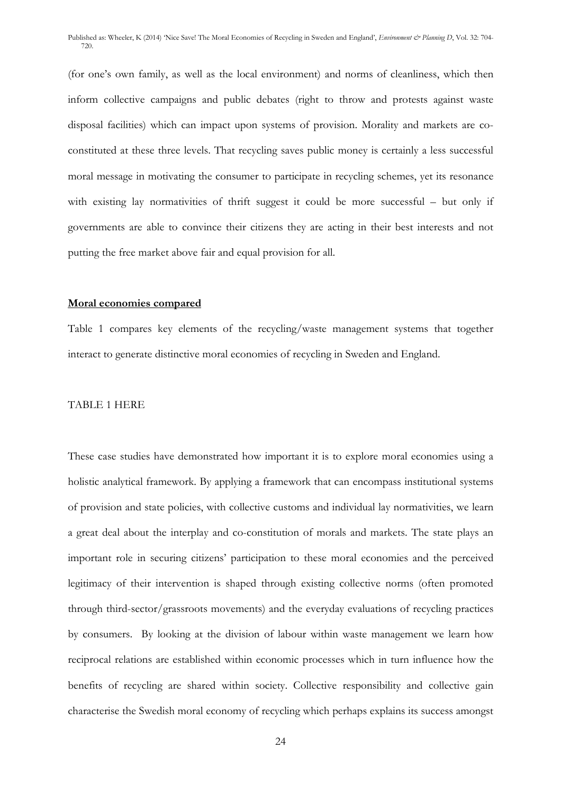(for one's own family, as well as the local environment) and norms of cleanliness, which then inform collective campaigns and public debates (right to throw and protests against waste disposal facilities) which can impact upon systems of provision. Morality and markets are coconstituted at these three levels. That recycling saves public money is certainly a less successful moral message in motivating the consumer to participate in recycling schemes, yet its resonance with existing lay normativities of thrift suggest it could be more successful – but only if governments are able to convince their citizens they are acting in their best interests and not putting the free market above fair and equal provision for all.

#### **Moral economies compared**

Table 1 compares key elements of the recycling/waste management systems that together interact to generate distinctive moral economies of recycling in Sweden and England.

#### TABLE 1 HERE

These case studies have demonstrated how important it is to explore moral economies using a holistic analytical framework. By applying a framework that can encompass institutional systems of provision and state policies, with collective customs and individual lay normativities, we learn a great deal about the interplay and co-constitution of morals and markets. The state plays an important role in securing citizens' participation to these moral economies and the perceived legitimacy of their intervention is shaped through existing collective norms (often promoted through third-sector/grassroots movements) and the everyday evaluations of recycling practices by consumers. By looking at the division of labour within waste management we learn how reciprocal relations are established within economic processes which in turn influence how the benefits of recycling are shared within society. Collective responsibility and collective gain characterise the Swedish moral economy of recycling which perhaps explains its success amongst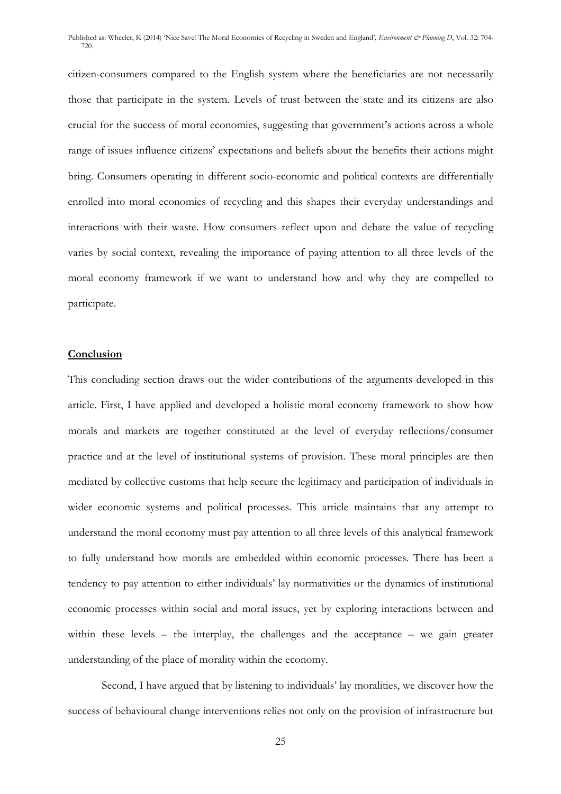citizen-consumers compared to the English system where the beneficiaries are not necessarily those that participate in the system. Levels of trust between the state and its citizens are also crucial for the success of moral economies, suggesting that government's actions across a whole range of issues influence citizens' expectations and beliefs about the benefits their actions might bring. Consumers operating in different socio-economic and political contexts are differentially enrolled into moral economies of recycling and this shapes their everyday understandings and interactions with their waste. How consumers reflect upon and debate the value of recycling varies by social context, revealing the importance of paying attention to all three levels of the moral economy framework if we want to understand how and why they are compelled to participate.

#### **Conclusion**

This concluding section draws out the wider contributions of the arguments developed in this article. First, I have applied and developed a holistic moral economy framework to show how morals and markets are together constituted at the level of everyday reflections/consumer practice and at the level of institutional systems of provision. These moral principles are then mediated by collective customs that help secure the legitimacy and participation of individuals in wider economic systems and political processes. This article maintains that any attempt to understand the moral economy must pay attention to all three levels of this analytical framework to fully understand how morals are embedded within economic processes. There has been a tendency to pay attention to either individuals' lay normativities or the dynamics of institutional economic processes within social and moral issues, yet by exploring interactions between and within these levels – the interplay, the challenges and the acceptance – we gain greater understanding of the place of morality within the economy.

Second, I have argued that by listening to individuals' lay moralities, we discover how the success of behavioural change interventions relies not only on the provision of infrastructure but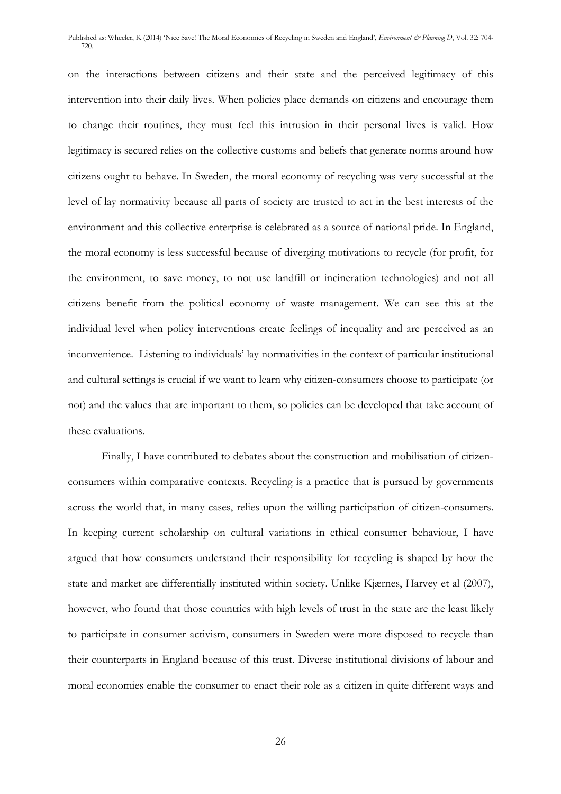on the interactions between citizens and their state and the perceived legitimacy of this intervention into their daily lives. When policies place demands on citizens and encourage them to change their routines, they must feel this intrusion in their personal lives is valid. How legitimacy is secured relies on the collective customs and beliefs that generate norms around how citizens ought to behave. In Sweden, the moral economy of recycling was very successful at the level of lay normativity because all parts of society are trusted to act in the best interests of the environment and this collective enterprise is celebrated as a source of national pride. In England, the moral economy is less successful because of diverging motivations to recycle (for profit, for the environment, to save money, to not use landfill or incineration technologies) and not all citizens benefit from the political economy of waste management. We can see this at the individual level when policy interventions create feelings of inequality and are perceived as an inconvenience. Listening to individuals' lay normativities in the context of particular institutional and cultural settings is crucial if we want to learn why citizen-consumers choose to participate (or not) and the values that are important to them, so policies can be developed that take account of these evaluations.

Finally, I have contributed to debates about the construction and mobilisation of citizenconsumers within comparative contexts. Recycling is a practice that is pursued by governments across the world that, in many cases, relies upon the willing participation of citizen-consumers. In keeping current scholarship on cultural variations in ethical consumer behaviour, I have argued that how consumers understand their responsibility for recycling is shaped by how the state and market are differentially instituted within society. Unlike Kjærnes, Harvey et al (2007), however, who found that those countries with high levels of trust in the state are the least likely to participate in consumer activism, consumers in Sweden were more disposed to recycle than their counterparts in England because of this trust. Diverse institutional divisions of labour and moral economies enable the consumer to enact their role as a citizen in quite different ways and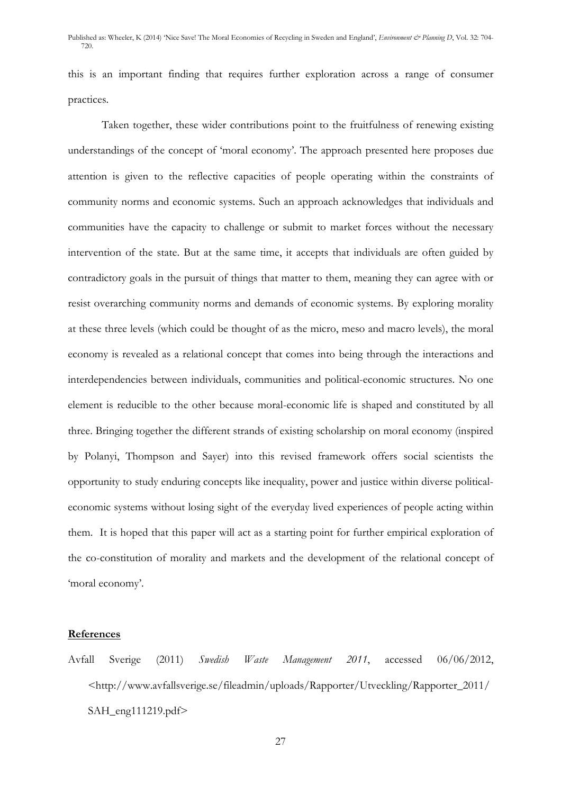this is an important finding that requires further exploration across a range of consumer practices.

Taken together, these wider contributions point to the fruitfulness of renewing existing understandings of the concept of 'moral economy'. The approach presented here proposes due attention is given to the reflective capacities of people operating within the constraints of community norms and economic systems. Such an approach acknowledges that individuals and communities have the capacity to challenge or submit to market forces without the necessary intervention of the state. But at the same time, it accepts that individuals are often guided by contradictory goals in the pursuit of things that matter to them, meaning they can agree with or resist overarching community norms and demands of economic systems. By exploring morality at these three levels (which could be thought of as the micro, meso and macro levels), the moral economy is revealed as a relational concept that comes into being through the interactions and interdependencies between individuals, communities and political-economic structures. No one element is reducible to the other because moral-economic life is shaped and constituted by all three. Bringing together the different strands of existing scholarship on moral economy (inspired by Polanyi, Thompson and Sayer) into this revised framework offers social scientists the opportunity to study enduring concepts like inequality, power and justice within diverse politicaleconomic systems without losing sight of the everyday lived experiences of people acting within them. It is hoped that this paper will act as a starting point for further empirical exploration of the co-constitution of morality and markets and the development of the relational concept of 'moral economy'.

# **References**

Avfall Sverige (2011) *Swedish Waste Management 2011*, accessed 06/06/2012, <http://www.avfallsverige.se/fileadmin/uploads/Rapporter/Utveckling/Rapporter\_2011/ SAH\_eng111219.pdf>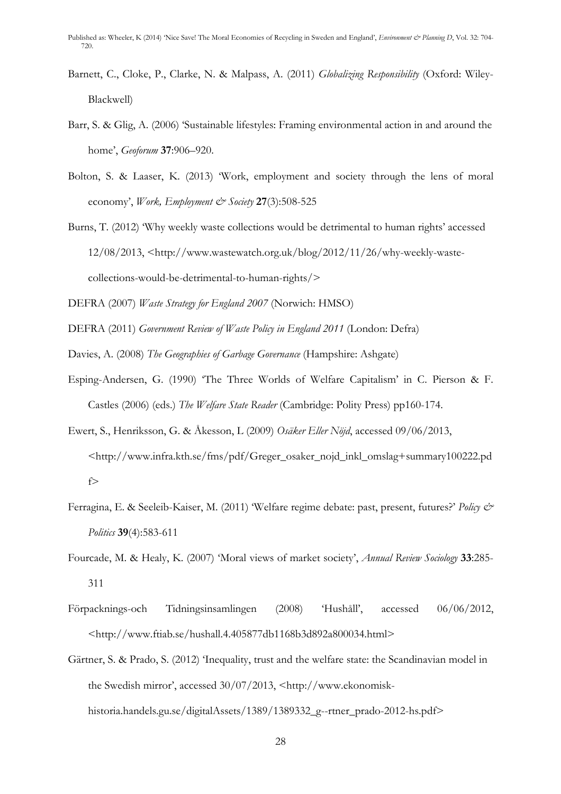- Barnett, C., Cloke, P., Clarke, N. & Malpass, A. (2011) *Globalizing Responsibility* (Oxford: Wiley-Blackwell)
- Barr, S. & Glig, A. (2006) 'Sustainable lifestyles: Framing environmental action in and around the home', *Geoforum* **37**:906–920.
- Bolton, S. & Laaser, K. (2013) 'Work, employment and society through the lens of moral economy', *Work, Employment & Society* 27(3):508-525
- Burns, T. (2012) 'Why weekly waste collections would be detrimental to human rights' accessed 12/08/2013, <http://www.wastewatch.org.uk/blog/2012/11/26/why-weekly-wastecollections-would-be-detrimental-to-human-rights/>

DEFRA (2007) *Waste Strategy for England 2007* (Norwich: HMSO)

DEFRA (2011) *Government Review of Waste Policy in England 2011* (London: Defra)

Davies, A. (2008) *The Geographies of Garbage Governance* (Hampshire: Ashgate)

- Esping-Andersen, G. (1990) 'The Three Worlds of Welfare Capitalism' in C. Pierson & F. Castles (2006) (eds.) *The Welfare State Reader* (Cambridge: Polity Press) pp160-174.
- Ewert, S., Henriksson, G. & Åkesson, L (2009) *Osäker Eller Nöjd*, accessed 09/06/2013, <http://www.infra.kth.se/fms/pdf/Greger\_osaker\_nojd\_inkl\_omslag+summary100222.pd f>
- Ferragina, E. & Seeleib-Kaiser, M. (2011) 'Welfare regime debate: past, present, futures?' *Policy & Politics* **39**(4):583-611
- Fourcade, M. & Healy, K. (2007) 'Moral views of market society', *Annual Review Sociology* **33**:285- 311
- Förpacknings-och Tidningsinsamlingen (2008) 'Hushåll', accessed 06/06/2012, <http://www.ftiab.se/hushall.4.405877db1168b3d892a800034.html>
- Gärtner, S. & Prado, S. (2012) 'Inequality, trust and the welfare state: the Scandinavian model in the Swedish mirror', accessed 30/07/2013, <http://www.ekonomiskhistoria.handels.gu.se/digitalAssets/1389/1389332\_g--rtner\_prado-2012-hs.pdf>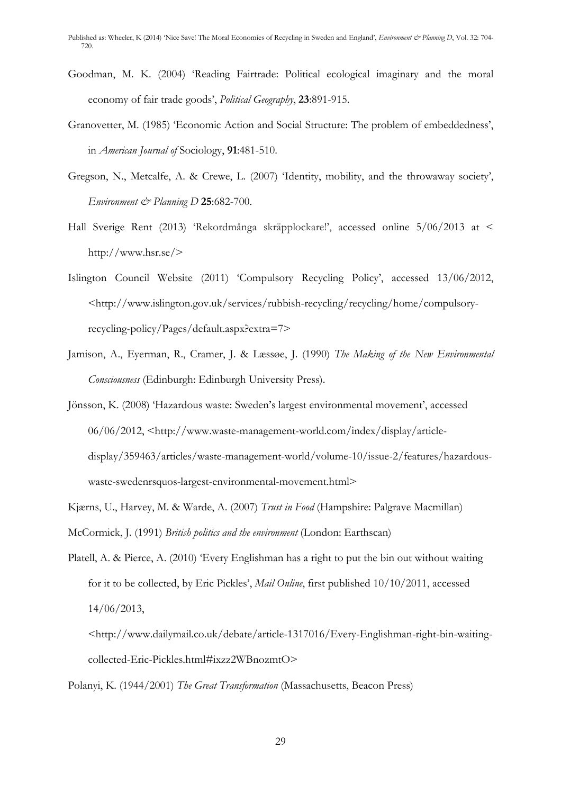- Goodman, M. K. (2004) 'Reading Fairtrade: Political ecological imaginary and the moral economy of fair trade goods', *Political Geography*, **23**:891-915.
- Granovetter, M. (1985) 'Economic Action and Social Structure: The problem of embeddedness', in *American Journal of* Sociology, **91**:481-510.
- Gregson, N., Metcalfe, A. & Crewe, L. (2007) 'Identity, mobility, and the throwaway society', *Environment & Planning D* **25**:682-700.
- Hall Sverige Rent (2013) 'Rekordmånga skräpplockare!', accessed online 5/06/2013 at < http://www.hsr.se/>
- Islington Council Website (2011) 'Compulsory Recycling Policy', accessed 13/06/2012, <http://www.islington.gov.uk/services/rubbish-recycling/recycling/home/compulsoryrecycling-policy/Pages/default.aspx?extra=7>
- Jamison, A., Eyerman, R., Cramer, J. & Læssøe, J. (1990) *The Making of the New Environmental Consciousness* (Edinburgh: Edinburgh University Press).
- Jönsson, K. (2008) 'Hazardous waste: Sweden's largest environmental movement', accessed 06/06/2012, <http://www.waste-management-world.com/index/display/articledisplay/359463/articles/waste-management-world/volume-10/issue-2/features/hazardouswaste-swedenrsquos-largest-environmental-movement.html>
- Kjærns, U., Harvey, M. & Warde, A. (2007) *Trust in Food* (Hampshire: Palgrave Macmillan)

McCormick, J. (1991) *British politics and the environment* (London: Earthscan)

- Platell, A. & Pierce, A. (2010) 'Every Englishman has a right to put the bin out without waiting for it to be collected, by Eric Pickles', *Mail Online*, first published 10/10/2011, accessed 14/06/2013,
	- <http://www.dailymail.co.uk/debate/article-1317016/Every-Englishman-right-bin-waitingcollected-Eric-Pickles.html#ixzz2WBnozmtO>

Polanyi, K. (1944/2001) *The Great Transformation* (Massachusetts, Beacon Press)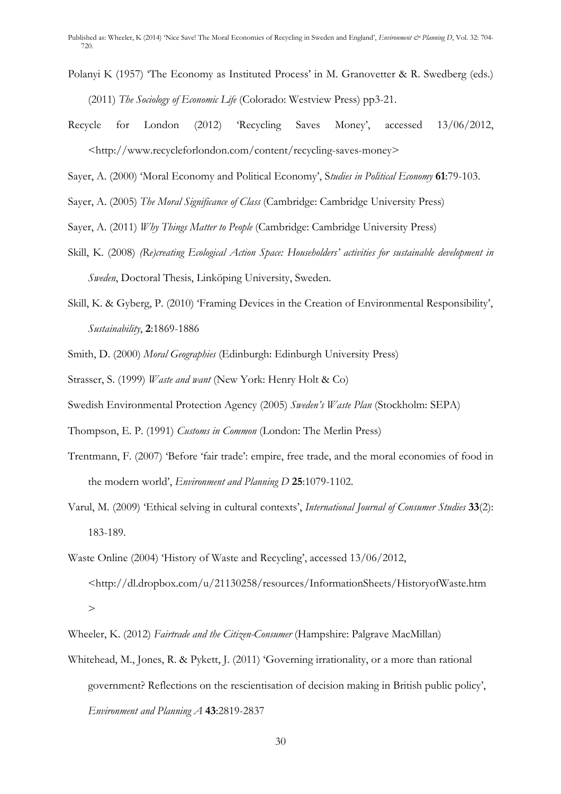- Polanyi K (1957) 'The Economy as Instituted Process' in M. Granovetter & R. Swedberg (eds.) (2011) *The Sociology of Economic Life* (Colorado: Westview Press) pp3-21.
- Recycle for London (2012) 'Recycling Saves Money', accessed 13/06/2012, <http://www.recycleforlondon.com/content/recycling-saves-money>

Sayer, A. (2000) 'Moral Economy and Political Economy', S*tudies in Political Economy* **61**:79-103.

- Sayer, A. (2005) *The Moral Significance of Class* (Cambridge: Cambridge University Press)
- Sayer, A. (2011) *Why Things Matter to People* (Cambridge: Cambridge University Press)
- Skill, K. (2008) *(Re)creating Ecological Action Space: Householders' activities for sustainable development in Sweden*, Doctoral Thesis, Linköping University, Sweden.
- Skill, K. & Gyberg, P. (2010) 'Framing Devices in the Creation of Environmental Responsibility', *Sustainability*, **2**:1869-1886
- Smith, D. (2000) *Moral Geographies* (Edinburgh: Edinburgh University Press)
- Strasser, S. (1999) *Waste and want* (New York: Henry Holt & Co)
- Swedish Environmental Protection Agency (2005) *Sweden's Waste Plan* (Stockholm: SEPA)
- Thompson, E. P. (1991) *Customs in Common* (London: The Merlin Press)
- Trentmann, F. (2007) 'Before 'fair trade': empire, free trade, and the moral economies of food in the modern world', *Environment and Planning D* **25**:1079-1102.
- Varul, M. (2009) 'Ethical selving in cultural contexts', *International Journal of Consumer Studies* **33**(2): 183-189.
- Waste Online (2004) 'History of Waste and Recycling', accessed 13/06/2012, <http://dl.dropbox.com/u/21130258/resources/InformationSheets/HistoryofWaste.htm >
- Wheeler, K. (2012) *Fairtrade and the Citizen-Consumer* (Hampshire: Palgrave MacMillan)
- Whitehead, M., Jones, R. & Pykett, J. (2011) 'Governing irrationality, or a more than rational government? Reflections on the rescientisation of decision making in British public policy', *Environment and Planning A* **43**:2819-2837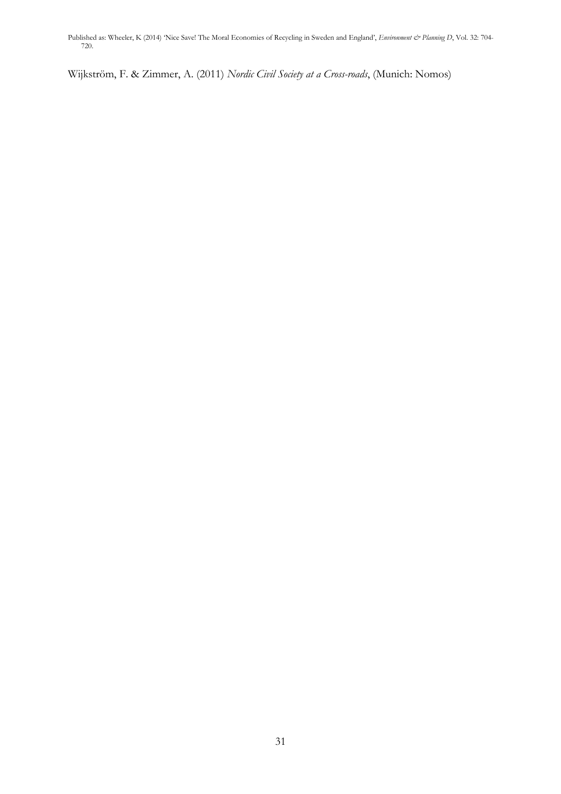Wijkström, F. & Zimmer, A. (2011) *Nordic Civil Society at a Cross-roads*, (Munich: Nomos)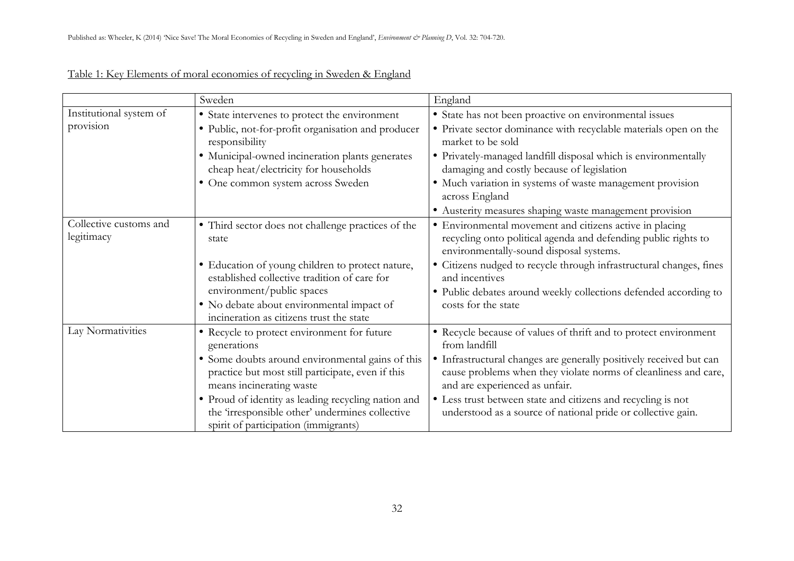|                                      | Sweden                                                                                                                                         | England                                                                                                                                                                  |
|--------------------------------------|------------------------------------------------------------------------------------------------------------------------------------------------|--------------------------------------------------------------------------------------------------------------------------------------------------------------------------|
| Institutional system of              | • State intervenes to protect the environment                                                                                                  | • State has not been proactive on environmental issues                                                                                                                   |
| provision                            | · Public, not-for-profit organisation and producer<br>responsibility                                                                           | • Private sector dominance with recyclable materials open on the<br>market to be sold                                                                                    |
|                                      | · Municipal-owned incineration plants generates<br>cheap heat/electricity for households                                                       | • Privately-managed landfill disposal which is environmentally<br>damaging and costly because of legislation                                                             |
|                                      | • One common system across Sweden                                                                                                              | • Much variation in systems of waste management provision<br>across England                                                                                              |
|                                      |                                                                                                                                                | • Austerity measures shaping waste management provision                                                                                                                  |
| Collective customs and<br>legitimacy | • Third sector does not challenge practices of the<br>state                                                                                    | • Environmental movement and citizens active in placing<br>recycling onto political agenda and defending public rights to<br>environmentally-sound disposal systems.     |
|                                      | · Education of young children to protect nature,<br>established collective tradition of care for<br>environment/public spaces                  | • Citizens nudged to recycle through infrastructural changes, fines<br>and incentives<br>• Public debates around weekly collections defended according to                |
|                                      | • No debate about environmental impact of<br>incineration as citizens trust the state                                                          | costs for the state                                                                                                                                                      |
| Lay Normativities                    | • Recycle to protect environment for future<br>generations                                                                                     | • Recycle because of values of thrift and to protect environment<br>from landfill                                                                                        |
|                                      | • Some doubts around environmental gains of this<br>practice but most still participate, even if this<br>means incinerating waste              | • Infrastructural changes are generally positively received but can<br>cause problems when they violate norms of cleanliness and care,<br>and are experienced as unfair. |
|                                      | • Proud of identity as leading recycling nation and<br>the 'irresponsible other' undermines collective<br>spirit of participation (immigrants) | • Less trust between state and citizens and recycling is not<br>understood as a source of national pride or collective gain.                                             |

# Table 1: Key Elements of moral economies of recycling in Sweden & England